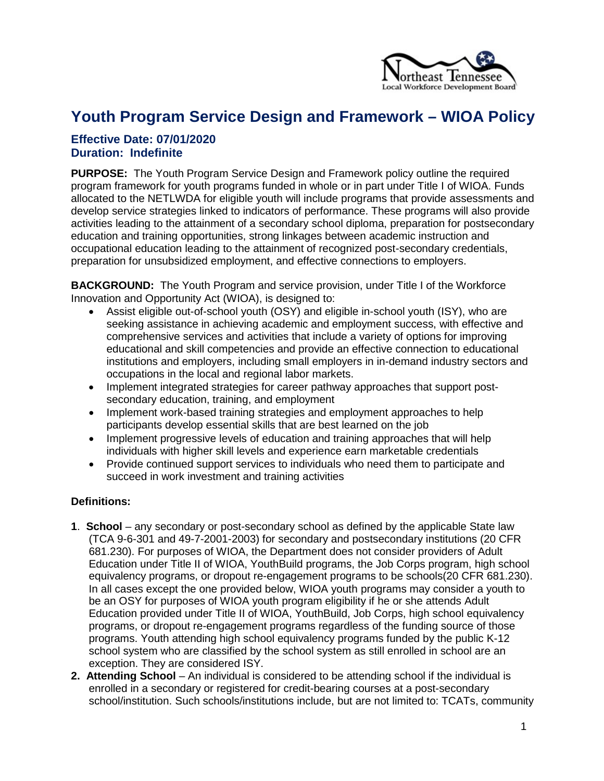

# **Youth Program Service Design and Framework – WIOA Policy**

## **Effective Date: 07/01/2020 Duration: Indefinite**

**PURPOSE:** The Youth Program Service Design and Framework policy outline the required program framework for youth programs funded in whole or in part under Title I of WIOA. Funds allocated to the NETLWDA for eligible youth will include programs that provide assessments and develop service strategies linked to indicators of performance. These programs will also provide activities leading to the attainment of a secondary school diploma, preparation for postsecondary education and training opportunities, strong linkages between academic instruction and occupational education leading to the attainment of recognized post-secondary credentials, preparation for unsubsidized employment, and effective connections to employers.

**BACKGROUND:** The Youth Program and service provision, under Title I of the Workforce Innovation and Opportunity Act (WIOA), is designed to:

- Assist eligible out-of-school youth (OSY) and eligible in-school youth (ISY), who are seeking assistance in achieving academic and employment success, with effective and comprehensive services and activities that include a variety of options for improving educational and skill competencies and provide an effective connection to educational institutions and employers, including small employers in in-demand industry sectors and occupations in the local and regional labor markets.
- Implement integrated strategies for career pathway approaches that support postsecondary education, training, and employment
- Implement work-based training strategies and employment approaches to help participants develop essential skills that are best learned on the job
- Implement progressive levels of education and training approaches that will help individuals with higher skill levels and experience earn marketable credentials
- Provide continued support services to individuals who need them to participate and succeed in work investment and training activities

#### **Definitions:**

- **1**. **School**  any secondary or post-secondary school as defined by the applicable State law (TCA 9-6-301 and 49-7-2001-2003) for secondary and postsecondary institutions (20 CFR 681.230). For purposes of WIOA, the Department does not consider providers of Adult Education under Title II of WIOA, YouthBuild programs, the Job Corps program, high school equivalency programs, or dropout re-engagement programs to be schools(20 CFR 681.230). In all cases except the one provided below, WIOA youth programs may consider a youth to be an OSY for purposes of WIOA youth program eligibility if he or she attends Adult Education provided under Title II of WIOA, YouthBuild, Job Corps, high school equivalency programs, or dropout re-engagement programs regardless of the funding source of those programs. Youth attending high school equivalency programs funded by the public K-12 school system who are classified by the school system as still enrolled in school are an exception. They are considered ISY.
- **2. Attending School** An individual is considered to be attending school if the individual is enrolled in a secondary or registered for credit-bearing courses at a post-secondary school/institution. Such schools/institutions include, but are not limited to: TCATs, community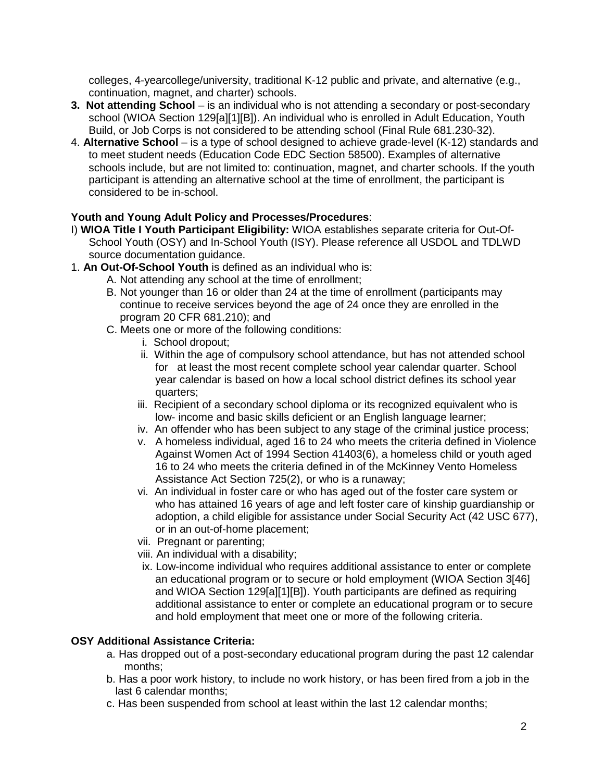colleges, 4-yearcollege/university, traditional K-12 public and private, and alternative (e.g., continuation, magnet, and charter) schools.

- **3. Not attending School**  is an individual who is not attending a secondary or post-secondary school (WIOA Section 129[a][1][B]). An individual who is enrolled in Adult Education, Youth Build, or Job Corps is not considered to be attending school (Final Rule 681.230-32).
- 4. **Alternative School**  is a type of school designed to achieve grade-level (K-12) standards and to meet student needs (Education Code EDC Section 58500). Examples of alternative schools include, but are not limited to: continuation, magnet, and charter schools. If the youth participant is attending an alternative school at the time of enrollment, the participant is considered to be in-school.

#### **Youth and Young Adult Policy and Processes/Procedures**:

- I) **WIOA Title I Youth Participant Eligibility:** WIOA establishes separate criteria for Out-Of-School Youth (OSY) and In-School Youth (ISY). Please reference all USDOL and TDLWD source documentation guidance.
- 1. **An Out-Of-School Youth** is defined as an individual who is:
	- A. Not attending any school at the time of enrollment;
	- B. Not younger than 16 or older than 24 at the time of enrollment (participants may continue to receive services beyond the age of 24 once they are enrolled in the program 20 CFR 681.210); and
	- C. Meets one or more of the following conditions:
		- i. School dropout;
		- ii. Within the age of compulsory school attendance, but has not attended school for at least the most recent complete school year calendar quarter. School year calendar is based on how a local school district defines its school year quarters;
		- iii. Recipient of a secondary school diploma or its recognized equivalent who is low- income and basic skills deficient or an English language learner;
		- iv. An offender who has been subject to any stage of the criminal justice process;
		- v. A homeless individual, aged 16 to 24 who meets the criteria defined in Violence Against Women Act of 1994 Section 41403(6), a homeless child or youth aged 16 to 24 who meets the criteria defined in of the McKinney Vento Homeless Assistance Act Section 725(2), or who is a runaway;
		- vi. An individual in foster care or who has aged out of the foster care system or who has attained 16 years of age and left foster care of kinship guardianship or adoption, a child eligible for assistance under Social Security Act (42 USC 677), or in an out-of-home placement;
		- vii. Pregnant or parenting;
		- viii. An individual with a disability;
		- ix. Low-income individual who requires additional assistance to enter or complete an educational program or to secure or hold employment (WIOA Section 3[46] and WIOA Section 129[a][1][B]). Youth participants are defined as requiring additional assistance to enter or complete an educational program or to secure and hold employment that meet one or more of the following criteria.

#### **OSY Additional Assistance Criteria:**

- a. Has dropped out of a post-secondary educational program during the past 12 calendar months;
- b. Has a poor work history, to include no work history, or has been fired from a job in the last 6 calendar months;
- c. Has been suspended from school at least within the last 12 calendar months;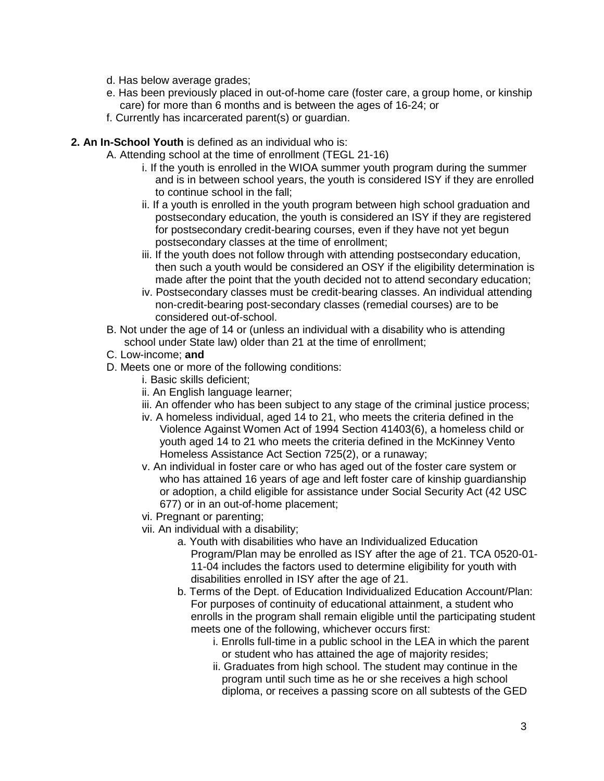- d. Has below average grades;
- e. Has been previously placed in out-of-home care (foster care, a group home, or kinship care) for more than 6 months and is between the ages of 16-24; or
- f. Currently has incarcerated parent(s) or guardian.

#### **2. An In-School Youth** is defined as an individual who is:

A. Attending school at the time of enrollment (TEGL 21-16)

- i. If the youth is enrolled in the WIOA summer youth program during the summer and is in between school years, the youth is considered ISY if they are enrolled to continue school in the fall;
- ii. If a youth is enrolled in the youth program between high school graduation and postsecondary education, the youth is considered an ISY if they are registered for postsecondary credit-bearing courses, even if they have not yet begun postsecondary classes at the time of enrollment;
- iii. If the youth does not follow through with attending postsecondary education, then such a youth would be considered an OSY if the eligibility determination is made after the point that the youth decided not to attend secondary education;
- iv. Postsecondary classes must be credit-bearing classes. An individual attending non-credit-bearing post-secondary classes (remedial courses) are to be considered out-of-school.
- B. Not under the age of 14 or (unless an individual with a disability who is attending school under State law) older than 21 at the time of enrollment;
- C. Low-income; **and**
- D. Meets one or more of the following conditions:
	- i. Basic skills deficient;
	- ii. An English language learner;
	- iii. An offender who has been subject to any stage of the criminal justice process;
	- iv. A homeless individual, aged 14 to 21, who meets the criteria defined in the Violence Against Women Act of 1994 Section 41403(6), a homeless child or youth aged 14 to 21 who meets the criteria defined in the McKinney Vento Homeless Assistance Act Section 725(2), or a runaway;
	- v. An individual in foster care or who has aged out of the foster care system or who has attained 16 years of age and left foster care of kinship guardianship or adoption, a child eligible for assistance under Social Security Act (42 USC 677) or in an out-of-home placement;
	- vi. Pregnant or parenting;
	- vii. An individual with a disability;
		- a. Youth with disabilities who have an Individualized Education Program/Plan may be enrolled as ISY after the age of 21. TCA 0520-01- 11-04 includes the factors used to determine eligibility for youth with disabilities enrolled in ISY after the age of 21.
		- b. Terms of the Dept. of Education Individualized Education Account/Plan: For purposes of continuity of educational attainment, a student who enrolls in the program shall remain eligible until the participating student meets one of the following, whichever occurs first:
			- i. Enrolls full-time in a public school in the LEA in which the parent or student who has attained the age of majority resides;
			- ii. Graduates from high school. The student may continue in the program until such time as he or she receives a high school diploma, or receives a passing score on all subtests of the GED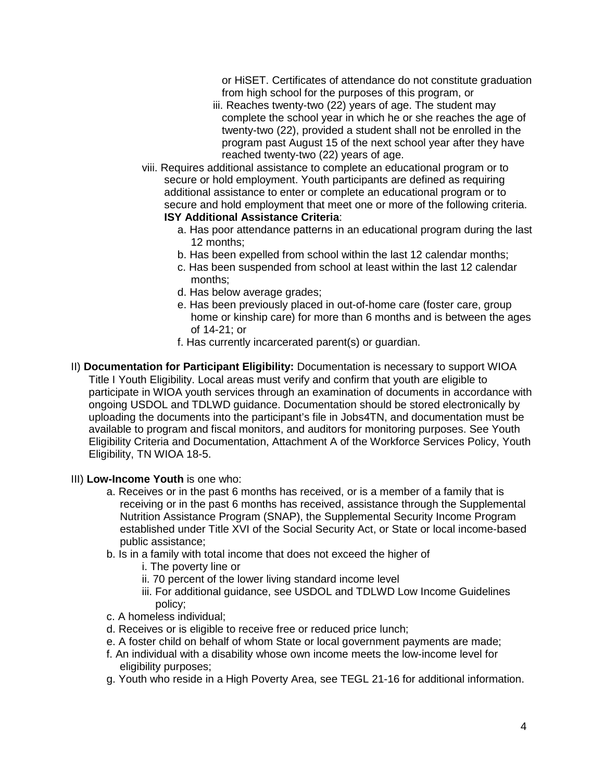or HiSET. Certificates of attendance do not constitute graduation from high school for the purposes of this program, or

- iii. Reaches twenty-two (22) years of age. The student may complete the school year in which he or she reaches the age of twenty-two (22), provided a student shall not be enrolled in the program past August 15 of the next school year after they have reached twenty-two (22) years of age.
- viii. Requires additional assistance to complete an educational program or to secure or hold employment. Youth participants are defined as requiring additional assistance to enter or complete an educational program or to secure and hold employment that meet one or more of the following criteria. **ISY Additional Assistance Criteria**:
	- a. Has poor attendance patterns in an educational program during the last 12 months;
	- b. Has been expelled from school within the last 12 calendar months;
	- c. Has been suspended from school at least within the last 12 calendar months;
	- d. Has below average grades;
	- e. Has been previously placed in out-of-home care (foster care, group home or kinship care) for more than 6 months and is between the ages of 14-21; or
	- f. Has currently incarcerated parent(s) or guardian.
- II) **Documentation for Participant Eligibility:** Documentation is necessary to support WIOA Title I Youth Eligibility. Local areas must verify and confirm that youth are eligible to participate in WIOA youth services through an examination of documents in accordance with ongoing USDOL and TDLWD guidance. Documentation should be stored electronically by uploading the documents into the participant's file in Jobs4TN, and documentation must be available to program and fiscal monitors, and auditors for monitoring purposes. See Youth Eligibility Criteria and Documentation, Attachment A of the Workforce Services Policy, Youth Eligibility, TN WIOA 18-5.
- III) **Low-Income Youth** is one who:
	- a. Receives or in the past 6 months has received, or is a member of a family that is receiving or in the past 6 months has received, assistance through the Supplemental Nutrition Assistance Program (SNAP), the Supplemental Security Income Program established under Title XVI of the Social Security Act, or State or local income-based public assistance;
	- b. Is in a family with total income that does not exceed the higher of
		- i. The poverty line or
		- ii. 70 percent of the lower living standard income level
		- iii. For additional guidance, see USDOL and TDLWD Low Income Guidelines policy;
	- c. A homeless individual;
	- d. Receives or is eligible to receive free or reduced price lunch;
	- e. A foster child on behalf of whom State or local government payments are made;
	- f. An individual with a disability whose own income meets the low-income level for eligibility purposes;
	- g. Youth who reside in a High Poverty Area, see TEGL 21-16 for additional information.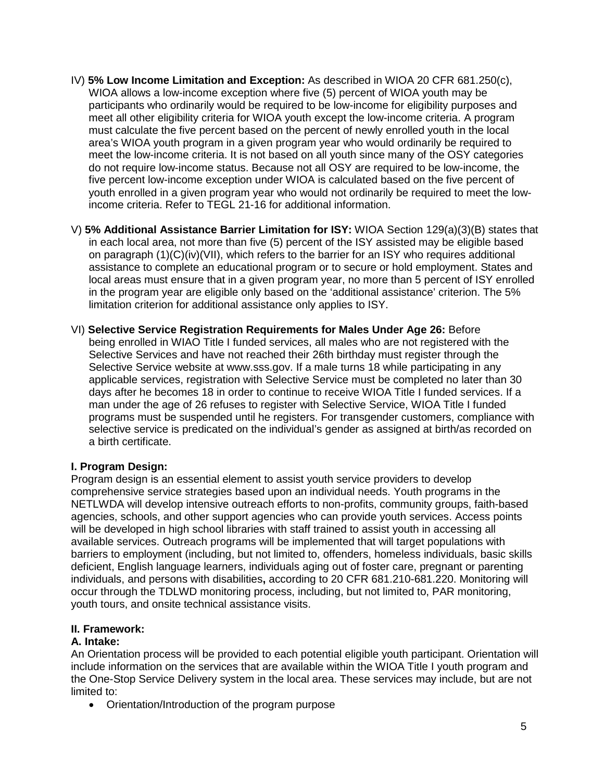- IV) **5% Low Income Limitation and Exception:** As described in WIOA 20 CFR 681.250(c), WIOA allows a low-income exception where five (5) percent of WIOA youth may be participants who ordinarily would be required to be low-income for eligibility purposes and meet all other eligibility criteria for WIOA youth except the low-income criteria. A program must calculate the five percent based on the percent of newly enrolled youth in the local area's WIOA youth program in a given program year who would ordinarily be required to meet the low-income criteria. It is not based on all youth since many of the OSY categories do not require low-income status. Because not all OSY are required to be low-income, the five percent low-income exception under WIOA is calculated based on the five percent of youth enrolled in a given program year who would not ordinarily be required to meet the lowincome criteria. Refer to TEGL 21-16 for additional information.
- V) **5% Additional Assistance Barrier Limitation for ISY:** WIOA Section 129(a)(3)(B) states that in each local area, not more than five (5) percent of the ISY assisted may be eligible based on paragraph (1)(C)(iv)(VII), which refers to the barrier for an ISY who requires additional assistance to complete an educational program or to secure or hold employment. States and local areas must ensure that in a given program year, no more than 5 percent of ISY enrolled in the program year are eligible only based on the 'additional assistance' criterion. The 5% limitation criterion for additional assistance only applies to ISY.
- VI) **Selective Service Registration Requirements for Males Under Age 26:** Before being enrolled in WIAO Title I funded services, all males who are not registered with the Selective Services and have not reached their 26th birthday must register through the Selective Service website at www.sss.gov. If a male turns 18 while participating in any applicable services, registration with Selective Service must be completed no later than 30 days after he becomes 18 in order to continue to receive WIOA Title I funded services. If a man under the age of 26 refuses to register with Selective Service, WIOA Title I funded programs must be suspended until he registers. For transgender customers, compliance with selective service is predicated on the individual's gender as assigned at birth/as recorded on a birth certificate.

#### **I. Program Design:**

Program design is an essential element to assist youth service providers to develop comprehensive service strategies based upon an individual needs. Youth programs in the NETLWDA will develop intensive outreach efforts to non-profits, community groups, faith-based agencies, schools, and other support agencies who can provide youth services. Access points will be developed in high school libraries with staff trained to assist youth in accessing all available services. Outreach programs will be implemented that will target populations with barriers to employment (including, but not limited to, offenders, homeless individuals, basic skills deficient, English language learners, individuals aging out of foster care, pregnant or parenting individuals, and persons with disabilities**,** according to 20 CFR 681.210-681.220. Monitoring will occur through the TDLWD monitoring process, including, but not limited to, PAR monitoring, youth tours, and onsite technical assistance visits.

#### **II. Framework:**

#### **A. Intake:**

An Orientation process will be provided to each potential eligible youth participant. Orientation will include information on the services that are available within the WIOA Title I youth program and the One-Stop Service Delivery system in the local area. These services may include, but are not limited to:

• Orientation/Introduction of the program purpose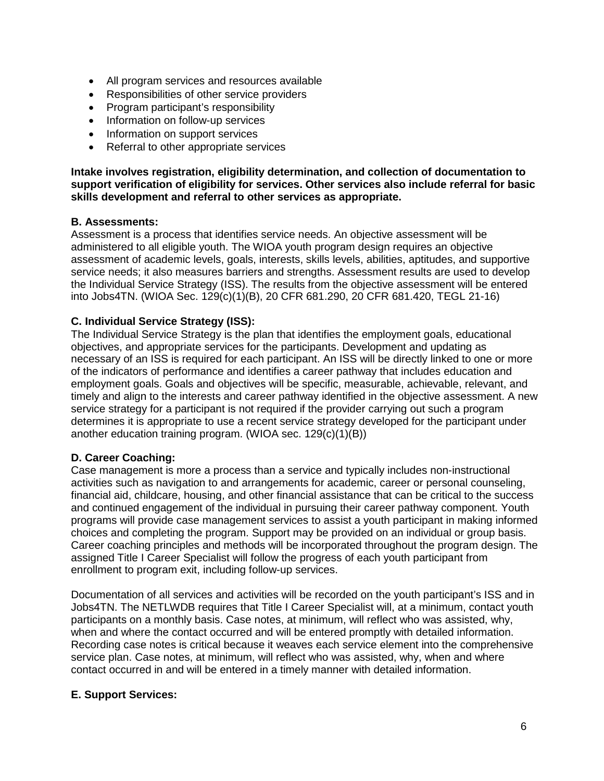- All program services and resources available
- Responsibilities of other service providers
- Program participant's responsibility
- Information on follow-up services
- Information on support services
- Referral to other appropriate services

**Intake involves registration, eligibility determination, and collection of documentation to support verification of eligibility for services. Other services also include referral for basic skills development and referral to other services as appropriate.**

# **B. Assessments:**

Assessment is a process that identifies service needs. An objective assessment will be administered to all eligible youth. The WIOA youth program design requires an objective assessment of academic levels, goals, interests, skills levels, abilities, aptitudes, and supportive service needs; it also measures barriers and strengths. Assessment results are used to develop the Individual Service Strategy (ISS). The results from the objective assessment will be entered into Jobs4TN. (WIOA Sec. 129(c)(1)(B), 20 CFR 681.290, 20 CFR 681.420, TEGL 21-16)

# **C. Individual Service Strategy (ISS):**

The Individual Service Strategy is the plan that identifies the employment goals, educational objectives, and appropriate services for the participants. Development and updating as necessary of an ISS is required for each participant. An ISS will be directly linked to one or more of the indicators of performance and identifies a career pathway that includes education and employment goals. Goals and objectives will be specific, measurable, achievable, relevant, and timely and align to the interests and career pathway identified in the objective assessment. A new service strategy for a participant is not required if the provider carrying out such a program determines it is appropriate to use a recent service strategy developed for the participant under another education training program. (WIOA sec. 129(c)(1)(B))

# **D. Career Coaching:**

Case management is more a process than a service and typically includes non-instructional activities such as navigation to and arrangements for academic, career or personal counseling, financial aid, childcare, housing, and other financial assistance that can be critical to the success and continued engagement of the individual in pursuing their career pathway component. Youth programs will provide case management services to assist a youth participant in making informed choices and completing the program. Support may be provided on an individual or group basis. Career coaching principles and methods will be incorporated throughout the program design. The assigned Title I Career Specialist will follow the progress of each youth participant from enrollment to program exit, including follow-up services.

Documentation of all services and activities will be recorded on the youth participant's ISS and in Jobs4TN. The NETLWDB requires that Title I Career Specialist will, at a minimum, contact youth participants on a monthly basis. Case notes, at minimum, will reflect who was assisted, why, when and where the contact occurred and will be entered promptly with detailed information. Recording case notes is critical because it weaves each service element into the comprehensive service plan. Case notes, at minimum, will reflect who was assisted, why, when and where contact occurred in and will be entered in a timely manner with detailed information.

# **E. Support Services:**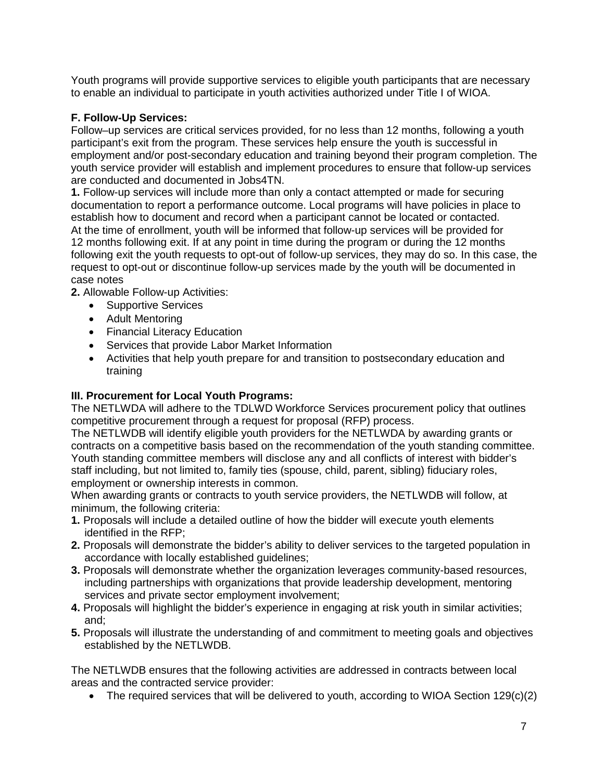Youth programs will provide supportive services to eligible youth participants that are necessary to enable an individual to participate in youth activities authorized under Title I of WIOA.

## **F. Follow-Up Services:**

Follow–up services are critical services provided, for no less than 12 months, following a youth participant's exit from the program. These services help ensure the youth is successful in employment and/or post-secondary education and training beyond their program completion. The youth service provider will establish and implement procedures to ensure that follow-up services are conducted and documented in Jobs4TN.

**1.** Follow-up services will include more than only a contact attempted or made for securing documentation to report a performance outcome. Local programs will have policies in place to establish how to document and record when a participant cannot be located or contacted. At the time of enrollment, youth will be informed that follow-up services will be provided for 12 months following exit. If at any point in time during the program or during the 12 months following exit the youth requests to opt-out of follow-up services, they may do so. In this case, the request to opt-out or discontinue follow-up services made by the youth will be documented in case notes

**2.** Allowable Follow-up Activities:

- Supportive Services
- Adult Mentoring
- Financial Literacy Education
- Services that provide Labor Market Information
- Activities that help youth prepare for and transition to postsecondary education and training

## **III. Procurement for Local Youth Programs:**

The NETLWDA will adhere to the TDLWD Workforce Services procurement policy that outlines competitive procurement through a request for proposal (RFP) process.

The NETLWDB will identify eligible youth providers for the NETLWDA by awarding grants or contracts on a competitive basis based on the recommendation of the youth standing committee. Youth standing committee members will disclose any and all conflicts of interest with bidder's staff including, but not limited to, family ties (spouse, child, parent, sibling) fiduciary roles, employment or ownership interests in common.

When awarding grants or contracts to youth service providers, the NETLWDB will follow, at minimum, the following criteria:

- **1.** Proposals will include a detailed outline of how the bidder will execute youth elements identified in the RFP;
- **2.** Proposals will demonstrate the bidder's ability to deliver services to the targeted population in accordance with locally established guidelines;
- **3.** Proposals will demonstrate whether the organization leverages community-based resources, including partnerships with organizations that provide leadership development, mentoring services and private sector employment involvement;
- **4.** Proposals will highlight the bidder's experience in engaging at risk youth in similar activities; and;
- **5.** Proposals will illustrate the understanding of and commitment to meeting goals and objectives established by the NETLWDB.

The NETLWDB ensures that the following activities are addressed in contracts between local areas and the contracted service provider:

• The required services that will be delivered to youth, according to WIOA Section  $129(c)(2)$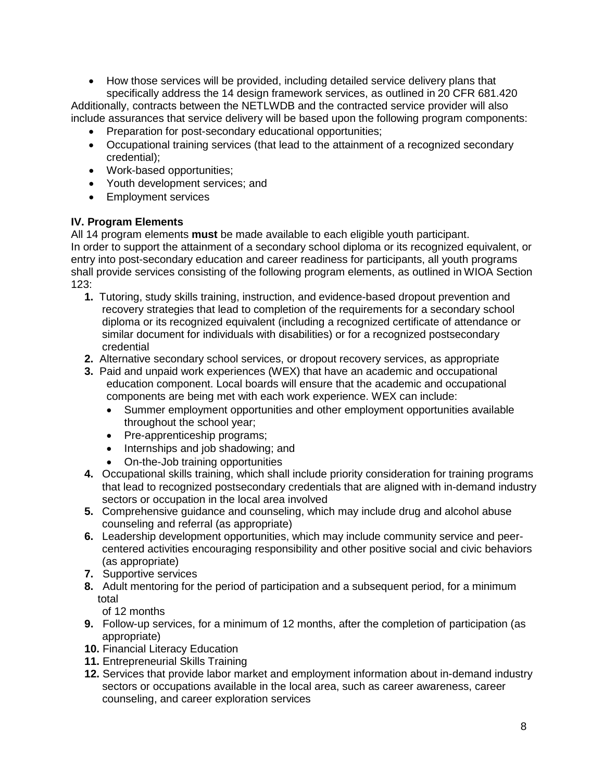• How those services will be provided, including detailed service delivery plans that specifically address the 14 design framework services, as outlined in 20 CFR 681.420

Additionally, contracts between the NETLWDB and the contracted service provider will also include assurances that service delivery will be based upon the following program components:

- Preparation for post-secondary educational opportunities;
- Occupational training services (that lead to the attainment of a recognized secondary credential);
- Work-based opportunities;
- Youth development services; and
- Employment services

# **IV. Program Elements**

All 14 program elements **must** be made available to each eligible youth participant.

In order to support the attainment of a secondary school diploma or its recognized equivalent, or entry into post-secondary education and career readiness for participants, all youth programs shall provide services consisting of the following program elements, as outlined in WIOA Section 123:

- **1.** Tutoring, study skills training, instruction, and evidence-based dropout prevention and recovery strategies that lead to completion of the requirements for a secondary school diploma or its recognized equivalent (including a recognized certificate of attendance or similar document for individuals with disabilities) or for a recognized postsecondary credential
- **2.** Alternative secondary school services, or dropout recovery services, as appropriate
- **3.** Paid and unpaid work experiences (WEX) that have an academic and occupational education component. Local boards will ensure that the academic and occupational components are being met with each work experience. WEX can include:
	- Summer employment opportunities and other employment opportunities available throughout the school year;
	- Pre-apprenticeship programs;
	- Internships and job shadowing; and
	- On-the-Job training opportunities
- **4.** Occupational skills training, which shall include priority consideration for training programs that lead to recognized postsecondary credentials that are aligned with in-demand industry sectors or occupation in the local area involved
- **5.** Comprehensive guidance and counseling, which may include drug and alcohol abuse counseling and referral (as appropriate)
- **6.** Leadership development opportunities, which may include community service and peercentered activities encouraging responsibility and other positive social and civic behaviors (as appropriate)
- **7.** Supportive services
- **8.** Adult mentoring for the period of participation and a subsequent period, for a minimum total

of 12 months

- **9.** Follow-up services, for a minimum of 12 months, after the completion of participation (as appropriate)
- **10.** Financial Literacy Education
- **11.** Entrepreneurial Skills Training
- **12.** Services that provide labor market and employment information about in-demand industry sectors or occupations available in the local area, such as career awareness, career counseling, and career exploration services